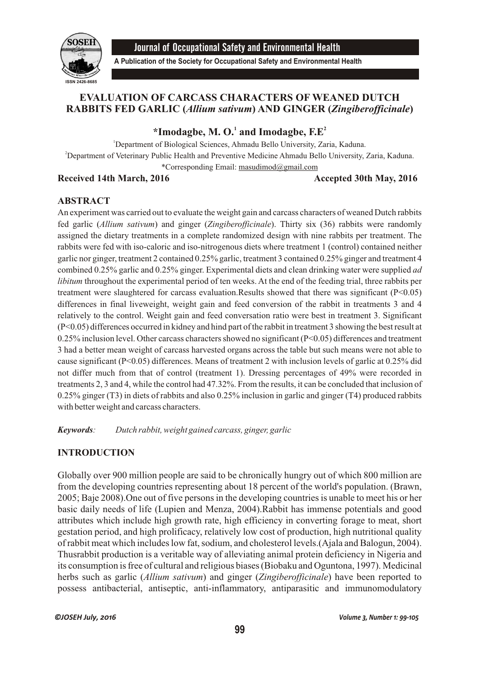

Journal of Occupational Safety and Environmental Health

**A Publication of the Society for Occupational Safety and Environmental Health**

# **EVALUATION OF CARCASS CHARACTERS OF WEANED DUTCH RABBITS FED GARLIC (***Allium sativum***) AND GINGER (***Zingiberofficinale***)**

 $*$ **Imodagbe, M. O.** and Imodagbe,  $F.E^2$ 

<sup>1</sup>Department of Biological Sciences, Ahmadu Bello University, Zaria, Kaduna. <sup>2</sup>Department of Veterinary Public Health and Preventive Medicine Ahmadu Bello University, Zaria, Kaduna. \*Corresponding Email: masudimod@gmail.com

# **Received 14th March, 2016** Accepted 30th May, 2016

## **ABSTRACT**

An experiment was carried out to evaluate the weight gain and carcass characters of weaned Dutch rabbits fed garlic (*Allium sativum*) and ginger (*Zingiberofficinale*). Thirty six (36) rabbits were randomly assigned the dietary treatments in a complete randomized design with nine rabbits per treatment. The rabbits were fed with iso-caloric and iso-nitrogenous diets where treatment 1 (control) contained neither garlic nor ginger, treatment 2 contained 0.25% garlic, treatment 3 contained 0.25% ginger and treatment 4 combined 0.25% garlic and 0.25% ginger. Experimental diets and clean drinking water were supplied *ad libitum* throughout the experimental period of ten weeks. At the end of the feeding trial, three rabbits per treatment were slaughtered for carcass evaluation.Results showed that there was significant (P<0.05) differences in final liveweight, weight gain and feed conversion of the rabbit in treatments 3 and 4 relatively to the control. Weight gain and feed conversation ratio were best in treatment 3. Significant (P<0.05) differences occurred in kidney and hind part of the rabbit in treatment 3 showing the best result at 0.25% inclusion level. Other carcass characters showed no significant (P<0.05) differences and treatment 3 had a better mean weight of carcass harvested organs across the table but such means were not able to cause significant (P<0.05) differences. Means of treatment 2 with inclusion levels of garlic at 0.25% did not differ much from that of control (treatment 1). Dressing percentages of 49% were recorded in treatments 2, 3 and 4, while the control had 47.32%. From the results, it can be concluded that inclusion of 0.25% ginger (T3) in diets of rabbits and also 0.25% inclusion in garlic and ginger (T4) produced rabbits with better weight and carcass characters.

*Keywords: Dutch rabbit, weight gained carcass, ginger, garlic*

# **INTRODUCTION**

Globally over 900 million people are said to be chronically hungry out of which 800 million are from the developing countries representing about 18 percent of the world's population. (Brawn, 2005; Baje 2008).One out of five persons in the developing countries is unable to meet his or her basic daily needs of life (Lupien and Menza, 2004).Rabbit has immense potentials and good attributes which include high growth rate, high efficiency in converting forage to meat, short gestation period, and high prolificacy, relatively low cost of production, high nutritional quality of rabbit meat which includes low fat, sodium, and cholesterol levels.(Ajala and Balogun, 2004). Thusrabbit production is a veritable way of alleviating animal protein deficiency in Nigeria and its consumption is free of cultural and religious biases (Biobaku and Oguntona, 1997). Medicinal herbs such as garlic (*Allium sativum*) and ginger (*Zingiberofficinale*) have been reported to possess antibacterial, antiseptic, anti-inflammatory, antiparasitic and immunomodulatory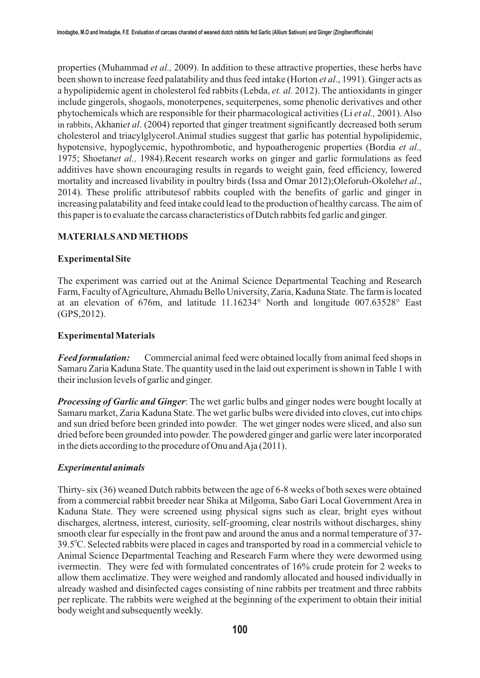properties (Muhammad *et al.,* 2009). In addition to these attractive properties, these herbs have been shown to increase feed palatability and thus feed intake (Horton *et al*., 1991). Ginger acts as a hypolipidemic agent in cholesterol fed rabbits (Lebda, *et. al.* 2012). The antioxidants in ginger include gingerols, shogaols, monoterpenes, sequiterpenes, some phenolic derivatives and other phytochemicals which are responsible for their pharmacological activities (Li *et al.,* 2001). Also in rabbits, Akhani*et al*. (2004) reported that ginger treatment significantly decreased both serum cholesterol and triacylglycerol.Animal studies suggest that garlic has potential hypolipidemic, hypotensive, hypoglycemic, hypothrombotic, and hypoatherogenic properties (Bordia *et al.,* 1975; Shoetan*et al.,* 1984).Recent research works on ginger and garlic formulations as feed additives have shown encouraging results in regards to weight gain, feed efficiency, lowered mortality and increased livability in poultry birds (Issa and Omar 2012);Oleforuh-Okoleh*et al*., 2014). These prolific attributesof rabbits coupled with the benefits of garlic and ginger in increasing palatability and feed intake could lead to the production of healthy carcass. The aim of this paper is to evaluate the carcass characteristics of Dutch rabbits fed garlic and ginger.

## **MATERIALS AND METHODS**

## **Experimental Site**

The experiment was carried out at the Animal Science Departmental Teaching and Research Farm, Faculty of Agriculture, Ahmadu Bello University, Zaria, Kaduna State. The farm is located at an elevation of 676m, and latitude 11.16234° North and longitude 007.63528° East (GPS,2012).

## **Experimental Materials**

*Feed formulation:* Commercial animal feed were obtained locally from animal feed shops in Samaru Zaria Kaduna State. The quantity used in the laid out experiment is shown in Table 1 with their inclusion levels of garlic and ginger.

*Processing of Garlic and Ginger*: The wet garlic bulbs and ginger nodes were bought locally at Samaru market, Zaria Kaduna State. The wet garlic bulbs were divided into cloves, cut into chips and sun dried before been grinded into powder. The wet ginger nodes were sliced, and also sun dried before been grounded into powder. The powdered ginger and garlic were later incorporated in the diets according to the procedure of Onu and Aja (2011).

## *Experimental animals*

Thirty- six (36) weaned Dutch rabbits between the age of 6-8 weeks of both sexes were obtained from a commercial rabbit breeder near Shika at Milgoma, Sabo Gari Local Government Area in Kaduna State. They were screened using physical signs such as clear, bright eyes without discharges, alertness, interest, curiosity, self-grooming, clear nostrils without discharges, shiny smooth clear fur especially in the front paw and around the anus and a normal temperature of 37- 39.5°C. Selected rabbits were placed in cages and transported by road in a commercial vehicle to Animal Science Departmental Teaching and Research Farm where they were dewormed using ivermectin. They were fed with formulated concentrates of 16% crude protein for 2 weeks to allow them acclimatize. They were weighed and randomly allocated and housed individually in already washed and disinfected cages consisting of nine rabbits per treatment and three rabbits per replicate. The rabbits were weighed at the beginning of the experiment to obtain their initial body weight and subsequently weekly.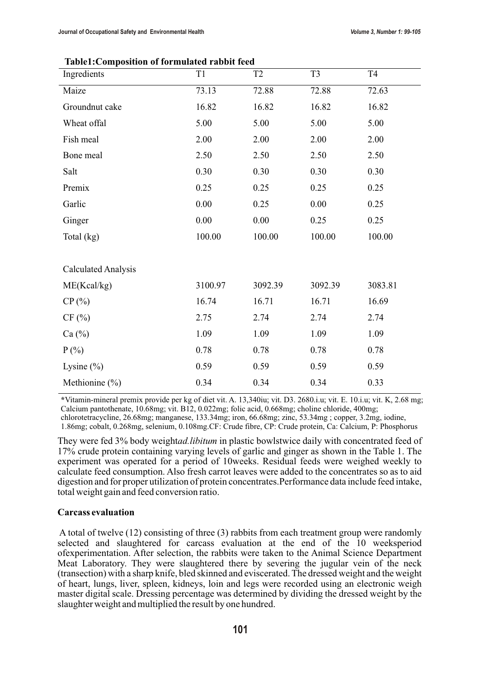| Ingredients                | T1       | T <sub>2</sub> | T <sub>3</sub> | T <sub>4</sub> |
|----------------------------|----------|----------------|----------------|----------------|
| Maize                      | 73.13    | 72.88          | 72.88          | 72.63          |
| Groundnut cake             | 16.82    | 16.82          | 16.82          | 16.82          |
| Wheat offal                | 5.00     | 5.00           | 5.00           | 5.00           |
| Fish meal                  | 2.00     | 2.00           | 2.00           | 2.00           |
| Bone meal                  | 2.50     | 2.50           | 2.50           | 2.50           |
| Salt                       | 0.30     | 0.30           | 0.30           | 0.30           |
| Premix                     | 0.25     | 0.25           | 0.25           | 0.25           |
| Garlic                     | $0.00\,$ | 0.25           | 0.00           | 0.25           |
| Ginger                     | 0.00     | 0.00           | 0.25           | 0.25           |
| Total (kg)                 | 100.00   | 100.00         | 100.00         | 100.00         |
|                            |          |                |                |                |
| <b>Calculated Analysis</b> |          |                |                |                |
| ME(Kcal/kg)                | 3100.97  | 3092.39        | 3092.39        | 3083.81        |
| CP(%)                      | 16.74    | 16.71          | 16.71          | 16.69          |
| CF(%)                      | 2.75     | 2.74           | 2.74           | 2.74           |
| Ca $(\%)$                  | 1.09     | 1.09           | 1.09           | 1.09           |
| $P(\% )$                   | 0.78     | 0.78           | 0.78           | 0.78           |
| Lysine $(\% )$             | 0.59     | 0.59           | 0.59           | 0.59           |
| Methionine $(\% )$         | 0.34     | 0.34           | 0.34           | 0.33           |

#### **Table1:Composition of formulated rabbit feed**

**\***Vitamin-mineral premix provide per kg of diet vit. A. 13,340iu; vit. D3. 2680.i.u; vit. E. 10.i.u; vit. K, 2.68 mg; Calcium pantothenate, 10.68mg; vit. B12, 0.022mg; folic acid, 0.668mg; choline chloride, 400mg;

chlorotetracycline, 26.68mg; manganese, 133.34mg; iron, 66.68mg; zinc, 53.34mg ; copper, 3.2mg, iodine,

1.86mg; cobalt, 0.268mg, selenium, 0.108mg.CF: Crude fibre, CP: Crude protein, Ca: Calcium, P: Phosphorus

They were fed 3% body weight*ad.libitum* in plastic bowlstwice daily with concentrated feed of 17% crude protein containing varying levels of garlic and ginger as shown in the Table 1. The experiment was operated for a period of 10weeks. Residual feeds were weighed weekly to calculate feed consumption. Also fresh carrot leaves were added to the concentrates so as to aid digestion and for proper utilization of protein concentrates.Performance data include feed intake, total weight gain and feed conversion ratio.

#### **Carcass evaluation**

A total of twelve (12) consisting of three (3) rabbits from each treatment group were randomly selected and slaughtered for carcass evaluation at the end of the 10 weeksperiod ofexperimentation. After selection, the rabbits were taken to the Animal Science Department Meat Laboratory. They were slaughtered there by severing the jugular vein of the neck (transection) with a sharp knife, bled skinned and eviscerated. The dressed weight and the weight of heart, lungs, liver, spleen, kidneys, loin and legs were recorded using an electronic weigh master digital scale. Dressing percentage was determined by dividing the dressed weight by the slaughter weight and multiplied the result by one hundred.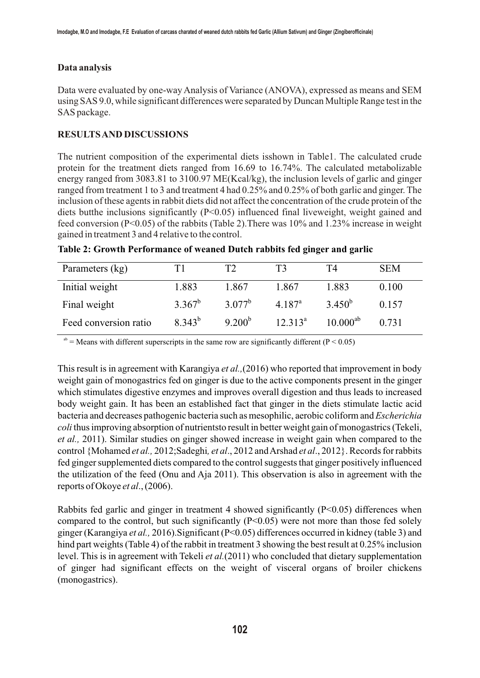#### **Data analysis**

Data were evaluated by one-way Analysis of Variance (ANOVA), expressed as means and SEM using SAS 9.0, while significant differences were separated by Duncan Multiple Range test in the SAS package.

## **RESULTS AND DISCUSSIONS**

The nutrient composition of the experimental diets isshown in Table1. The calculated crude protein for the treatment diets ranged from 16.69 to 16.74%. The calculated metabolizable energy ranged from 3083.81 to 3100.97 ME(Kcal/kg), the inclusion levels of garlic and ginger ranged from treatment 1 to 3 and treatment 4 had 0.25% and 0.25% of both garlic and ginger. The inclusion of these agents in rabbit diets did not affect the concentration of the crude protein of the diets butthe inclusions significantly (P<0.05) influenced final liveweight, weight gained and feed conversion (P<0.05) of the rabbits (Table 2).There was 10% and 1.23% increase in weight gained in treatment 3 and 4 relative to the control.

| Parameters (kg)       | Τ1          | Т7          | T3              | T4            | <b>SEM</b> |
|-----------------------|-------------|-------------|-----------------|---------------|------------|
| Initial weight        | 1.883       | 1.867       | 1.867           | 1.883         | 0.100      |
| Final weight          | $3.367^b$   | $3.077^b$   | $4.187^{\rm a}$ | $3.450^{b}$   | 0.157      |
| Feed conversion ratio | $8.343^{b}$ | $9.200^{b}$ | $12.313^a$      | $10.000^{ab}$ | 0.731      |

| Table 2: Growth Performance of weaned Dutch rabbits fed ginger and garlic |  |  |  |  |
|---------------------------------------------------------------------------|--|--|--|--|
|---------------------------------------------------------------------------|--|--|--|--|

<sup>ab</sup> = Means with different superscripts in the same row are significantly different ( $P < 0.05$ )

This result is in agreement with Karangiya *et al.,*(2016) who reported that improvement in body weight gain of monogastrics fed on ginger is due to the active components present in the ginger which stimulates digestive enzymes and improves overall digestion and thus leads to increased body weight gain. It has been an established fact that ginger in the diets stimulate lactic acid bacteria and decreases pathogenic bacteria such as mesophilic, aerobic coliform and *Escherichia coli* thus improving absorption of nutrientsto result in better weight gain of monogastrics (Tekeli, *et al.,* 2011). Similar studies on ginger showed increase in weight gain when compared to the control {Mohamed *et al.,* 2012;Sadeghi*, et al*., 2012 and Arshad *et al*., 2012}. Records for rabbits fed ginger supplemented diets compared to the control suggests that ginger positively influenced the utilization of the feed (Onu and Aja 2011). This observation is also in agreement with the reports of Okoye *et al*., (2006).

Rabbits fed garlic and ginger in treatment 4 showed significantly (P<0.05) differences when compared to the control, but such significantly  $(P<0.05)$  were not more than those fed solely ginger (Karangiya *et al.,* 2016).Significant (P<0.05) differences occurred in kidney (table 3) and hind part weights (Table 4) of the rabbit in treatment 3 showing the best result at 0.25% inclusion level. This is in agreement with Tekeli *et al.*(2011) who concluded that dietary supplementation of ginger had significant effects on the weight of visceral organs of broiler chickens (monogastrics).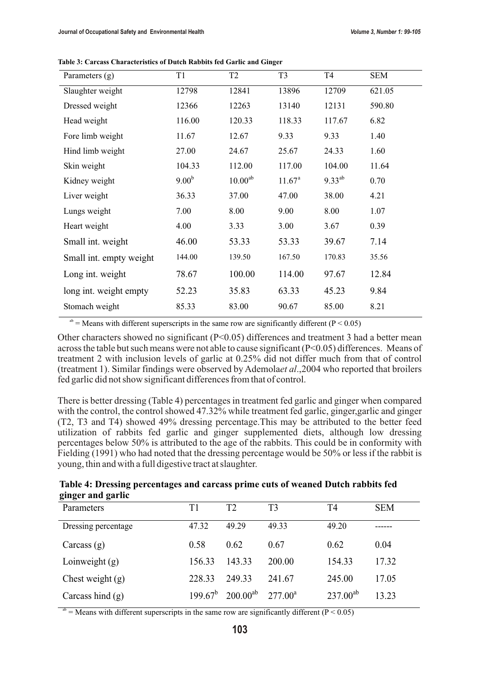| Parameters $(g)$        | T1         | T <sub>2</sub>      | T <sub>3</sub>     | T <sub>4</sub> | <b>SEM</b> |
|-------------------------|------------|---------------------|--------------------|----------------|------------|
| Slaughter weight        | 12798      | 12841               | 13896              | 12709          | 621.05     |
| Dressed weight          | 12366      | 12263               | 13140              | 12131          | 590.80     |
| Head weight             | 116.00     | 120.33              | 118.33             | 117.67         | 6.82       |
| Fore limb weight        | 11.67      | 12.67               | 9.33               | 9.33           | 1.40       |
| Hind limb weight        | 27.00      | 24.67               | 25.67              | 24.33          | 1.60       |
| Skin weight             | 104.33     | 112.00              | 117.00             | 104.00         | 11.64      |
| Kidney weight           | $9.00^{b}$ | 10.00 <sup>ab</sup> | 11.67 <sup>a</sup> | $9.33^{ab}$    | 0.70       |
| Liver weight            | 36.33      | 37.00               | 47.00              | 38.00          | 4.21       |
| Lungs weight            | 7.00       | 8.00                | 9.00               | 8.00           | 1.07       |
| Heart weight            | 4.00       | 3.33                | 3.00               | 3.67           | 0.39       |
| Small int. weight       | 46.00      | 53.33               | 53.33              | 39.67          | 7.14       |
| Small int. empty weight | 144.00     | 139.50              | 167.50             | 170.83         | 35.56      |
| Long int. weight        | 78.67      | 100.00              | 114.00             | 97.67          | 12.84      |
| long int. weight empty  | 52.23      | 35.83               | 63.33              | 45.23          | 9.84       |
| Stomach weight          | 85.33      | 83.00               | 90.67              | 85.00          | 8.21       |

**Table 3: Carcass Characteristics of Dutch Rabbits fed Garlic and Ginger**

 $a<sup>b</sup>$  = Means with different superscripts in the same row are significantly different (P < 0.05)

Other characters showed no significant (P<0.05) differences and treatment 3 had a better mean across the table but such means were not able to cause significant (P<0.05) differences. Means of treatment 2 with inclusion levels of garlic at 0.25% did not differ much from that of control (treatment 1). Similar findings were observed by Ademola*et al*.,2004 who reported that broilers fed garlic did not show significant differences from that of control.

There is better dressing (Table 4) percentages in treatment fed garlic and ginger when compared with the control, the control showed 47.32% while treatment fed garlic, ginger, garlic and ginger (T2, T3 and T4) showed 49% dressing percentage.This may be attributed to the better feed utilization of rabbits fed garlic and ginger supplemented diets, although low dressing percentages below 50% is attributed to the age of the rabbits. This could be in conformity with Fielding (1991) who had noted that the dressing percentage would be 50% or less if the rabbit is young, thin and with a full digestive tract at slaughter.

| Table 4: Dressing percentages and carcass prime cuts of weaned Dutch rabbits fed |  |  |
|----------------------------------------------------------------------------------|--|--|
| ginger and garlic                                                                |  |  |

| Parameters          | T1     | T2                                                        | T3     | T4            | <b>SEM</b> |
|---------------------|--------|-----------------------------------------------------------|--------|---------------|------------|
| Dressing percentage | 47.32  | 49.29                                                     | 49.33  | 49.20         |            |
| Carcass $(g)$       | 0.58   | 0.62                                                      | 0.67   | 0.62          | 0.04       |
| Loinweight $(g)$    | 156.33 | 143.33                                                    | 200.00 | 154.33        | 17.32      |
| Chest weight $(g)$  | 228.33 | 249.33                                                    | 241.67 | 245.00        | 17.05      |
| Carcass hind $(g)$  |        | $199.67^{\rm b}$ 200.00 <sup>ab</sup> 277.00 <sup>a</sup> |        | $237.00^{ab}$ | 13.23      |

<sup>ab</sup> = Means with different superscripts in the same row are significantly different ( $P < 0.05$ )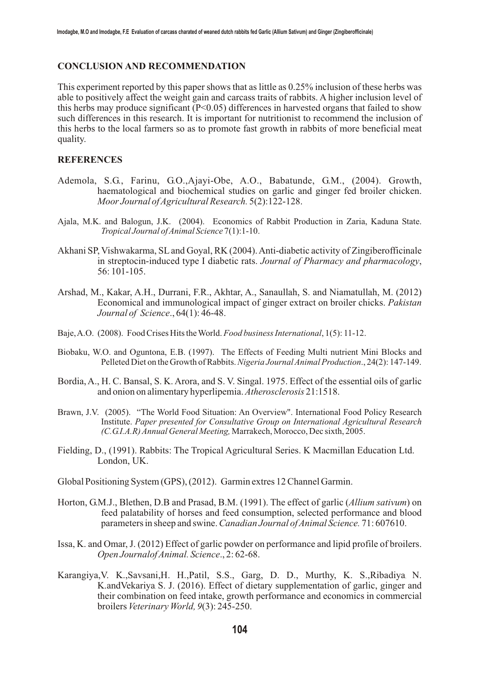#### **CONCLUSION AND RECOMMENDATION**

This experiment reported by this paper shows that as little as 0.25% inclusion of these herbs was able to positively affect the weight gain and carcass traits of rabbits. A higher inclusion level of this herbs may produce significant  $(P<0.05)$  differences in harvested organs that failed to show such differences in this research. It is important for nutritionist to recommend the inclusion of this herbs to the local farmers so as to promote fast growth in rabbits of more beneficial meat quality.

#### **REFERENCES**

- Ademola, S.G., Farinu, G.O.,Ajayi-Obe, A.O., Babatunde, G.M., (2004). Growth, haematological and biochemical studies on garlic and ginger fed broiler chicken. *Moor Journal of Agricultural Research.* 5(2):122-128.
- Ajala, M.K. and Balogun, J.K. (2004). Economics of Rabbit Production in Zaria, Kaduna State. *Tropical Journal of Animal Science* 7(1):1-10.
- Akhani SP, Vishwakarma, SL and Goyal, RK (2004). Anti-diabetic activity of Zingiberofficinale in streptocin-induced type I diabetic rats. *Journal of Pharmacy and pharmacology*, 56: 101-105.
- Arshad, M., Kakar, A.H., Durrani, F.R., Akhtar, A., Sanaullah, S. and Niamatullah, M. (2012) Economical and immunological impact of ginger extract on broiler chicks. *Pakistan Journal of Science*., 64(1): 46-48.
- Baje, A.O. (2008). Food Crises Hits the World. *Food business International*, 1(5): 11-12.
- Biobaku, W.O. and Oguntona, E.B. (1997). The Effects of Feeding Multi nutrient Mini Blocks and Pelleted Diet on the Growth of Rabbits. *Nigeria Journal Animal Production*., 24(2): 147-149.
- Bordia, A., H. C. Bansal, S. K. Arora, and S. V. Singal. 1975. Effect of the essential oils of garlic and onion on alimentary hyperlipemia. *Atherosclerosis* 21:1518.
- Brawn, J.V. (2005). "The World Food Situation: An Overview". International Food Policy Research Institute. *Paper presented for Consultative Group on International Agricultural Research (C.G.I.A.R) Annual General Meeting,* Marrakech, Morocco, Dec sixth, 2005.
- Fielding, D., (1991). Rabbits: The Tropical Agricultural Series. K Macmillan Education Ltd. London, UK.

Global Positioning System (GPS), (2012). Garmin extres 12 Channel Garmin.

- Horton, G.M.J., Blethen, D.B and Prasad, B.M. (1991). The effect of garlic (*Allium sativum*) on feed palatability of horses and feed consumption, selected performance and blood parameters in sheep and swine. *Canadian Journal of Animal Science.* 71: 607610.
- Issa, K. and Omar, J. (2012) Effect of garlic powder on performance and lipid profile of broilers. *Open Journalof Animal. Science*., 2: 62-68.
- Karangiya,V. K.,Savsani,H. H.,Patil, S.S., Garg, D. D., Murthy, K. S.,Ribadiya, N. K.andVekariya, S. J. (2016). Effect of dietary supplementation of garlic, ginger and their combination on feed intake, growth performance and economics in commercial broilers *Veterinary World, 9*(3): 245-250.